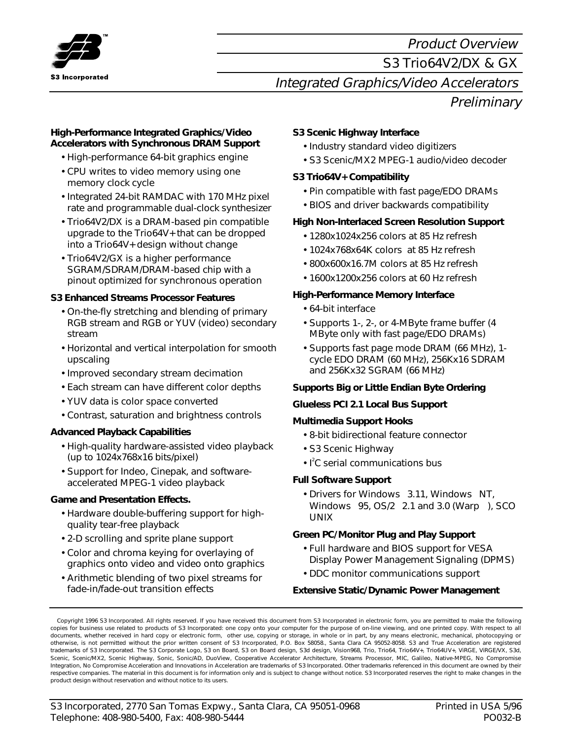

# Product Overview S3 Trio64V2/DX & GX Integrated Graphics/Video Accelerators **Preliminary**

#### **High-Performance Integrated Graphics/Video Accelerators with Synchronous DRAM Support**

- High-performance 64-bit graphics engine
- CPU writes to video memory using one memory clock cycle
- Integrated 24-bit RAMDAC with 170 MHz pixel rate and programmable dual-clock synthesizer
- Trio64V2/DX is a DRAM-based pin compatible upgrade to the Trio64V+ that can be dropped into a Trio64V+ design without change
- Trio64V2/GX is a higher performance SGRAM/SDRAM/DRAM-based chip with a pinout optimized for synchronous operation

# **S3 Enhanced Streams Processor Features**

- On-the-fly stretching and blending of primary RGB stream and RGB or YUV (video) secondary stream
- Horizontal and vertical interpolation for smooth upscaling
- Improved secondary stream decimation
- Each stream can have different color depths
- YUV data is color space converted
- Contrast, saturation and brightness controls

# **Advanced Playback Capabilities**

- High-quality hardware-assisted video playback (up to 1024x768x16 bits/pixel)
- Support for Indeo, Cinepak, and softwareaccelerated MPEG-1 video playback

# **Game and Presentation Effects.**

- Hardware double-buffering support for highquality tear-free playback
- 2-D scrolling and sprite plane support
- Color and chroma keying for overlaying of graphics onto video and video onto graphics
- Arithmetic blending of two pixel streams for fade-in/fade-out transition effects

# **S3 Scenic Highway Interface**

- Industry standard video digitizers
- S3 Scenic/MX2 MPEG-1 audio/video decoder

## **S3 Trio64V+ Compatibility**

- Pin compatible with fast page/EDO DRAMs
- BIOS and driver backwards compatibility

## **High Non-Interlaced Screen Resolution Support**

- 1280x1024x256 colors at 85 Hz refresh
- 1024x768x64K colors at 85 Hz refresh
- 800x600x16.7M colors at 85 Hz refresh
- 1600x1200x256 colors at 60 Hz refresh

## **High-Performance Memory Interface**

- 64-bit interface
- Supports 1-, 2-, or 4-MByte frame buffer (4 MByte only with fast page/EDO DRAMs)
- Supports fast page mode DRAM (66 MHz), 1 cycle EDO DRAM (60 MHz), 256Kx16 SDRAM and 256Kx32 SGRAM (66 MHz)

# **Supports Big or Little Endian Byte Ordering**

#### **Glueless PCI 2.1 Local Bus Support**

#### **Multimedia Support Hooks**

- 8-bit bidirectional feature connector
- S3 Scenic Highway
- I<sup>2</sup>C serial communications bus

#### **Full Software Support**

 $\bullet$  Drivers for Windows $^{\circledast}$  3.11, Windows $^{\circledast}$  NT, Windows  $95$ , OS/2 $^{\circ}$  2.1 and 3.0 (Warp<sup>TM</sup>), SCO $^{\circ}$ UNIX<sup>®</sup>

# **Green PC/Monitor Plug and Play Support**

- Full hardware and BIOS support for VESA Display Power Management Signaling (DPMS)
- DDC monitor communications support

#### **Extensive Static/Dynamic Power Management**

 Copyright 1996 S3 Incorporated. All rights reserved. If you have received this document from S3 Incorporated in electronic form, you are permitted to make the following copies for business use related to products of S3 Incorporated: one copy onto your computer for the purpose of on-line viewing, and one printed copy. With respect to all documents, whether received in hard copy or electronic form, other use, copying or storage, in whole or in part, by any means electronic, mechanical, photocopying or otherwise, is not permitted without the prior written consent of S3 Incorporated, P.O. Box 58058., Santa Clara CA 95052-8058. S3 and True Acceleration are registered trademarks of S3 Incorporated. The S3 Corporate Logo, S3 on Board, S3 on Board design, S3d design, Vision968, Trio, Trio64, Trio64V+, Trio64UV+, ViRGE, ViRGE/VX, S3d, Scenic, Scenic/MX2, Scenic Highway, Sonic, Sonic/AD, DuoView, Cooperative Accelerator Architecture, Streams Processor, MIC, Galileo, Native-MPEG, No Compromise Integration, No Compromise Acceleration and Innovations in Acceleration are trademarks of S3 Incorporated. Other trademarks referenced in this document are owned by their respective companies. The material in this document is for information only and is subject to change without notice. S3 Incorporated reserves the right to make changes in the product design without reservation and without notice to its users.